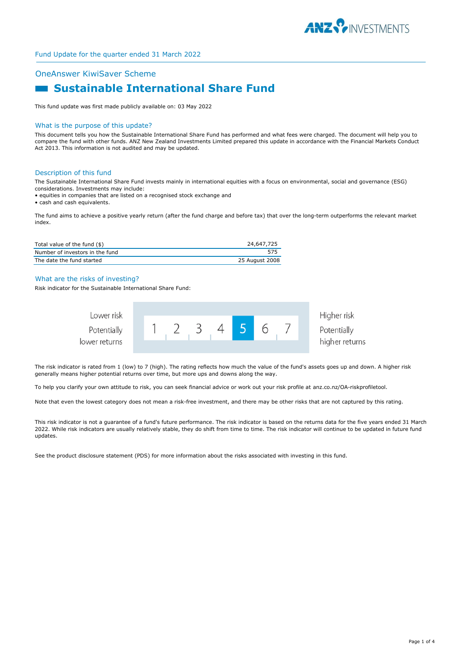

## OneAnswer KiwiSaver Scheme

# **Sustainable International Share Fund**

This fund update was first made publicly available on: 03 May 2022

#### What is the purpose of this update?

This document tells you how the Sustainable International Share Fund has performed and what fees were charged. The document will help you to compare the fund with other funds. ANZ New Zealand Investments Limited prepared this update in accordance with the Financial Markets Conduct Act 2013. This information is not audited and may be updated.

#### Description of this fund

The Sustainable International Share Fund invests mainly in international equities with a focus on environmental, social and governance (ESG) considerations. Investments may include:

• equities in companies that are listed on a recognised stock exchange and

• cash and cash equivalents.

The fund aims to achieve a positive yearly return (after the fund charge and before tax) that over the long-term outperforms the relevant market index.

| Total value of the fund $(\$)$  | 24,647,725     |
|---------------------------------|----------------|
| Number of investors in the fund | 575            |
| The date the fund started       | 25 August 2008 |

#### What are the risks of investing?

Risk indicator for the Sustainable International Share Fund:



The risk indicator is rated from 1 (low) to 7 (high). The rating reflects how much the value of the fund's assets goes up and down. A higher risk generally means higher potential returns over time, but more ups and downs along the way.

To help you clarify your own attitude to risk, you can seek financial advice or work out your risk profile at anz.co.nz/OA-riskprofiletool.

Note that even the lowest category does not mean a risk-free investment, and there may be other risks that are not captured by this rating.

This risk indicator is not a guarantee of a fund's future performance. The risk indicator is based on the returns data for the five years ended 31 March 2022. While risk indicators are usually relatively stable, they do shift from time to time. The risk indicator will continue to be updated in future fund updates.

See the product disclosure statement (PDS) for more information about the risks associated with investing in this fund.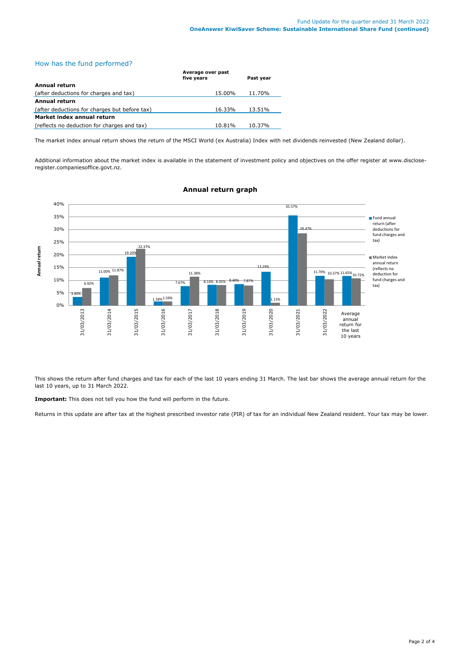# How has the fund performed?

|                                               | Average over past<br>five years | Past year |
|-----------------------------------------------|---------------------------------|-----------|
| Annual return                                 |                                 |           |
| (after deductions for charges and tax)        | 15.00%                          | 11.70%    |
| Annual return                                 |                                 |           |
| (after deductions for charges but before tax) | 16.33%                          | 13.51%    |
| Market index annual return                    |                                 |           |
| (reflects no deduction for charges and tax)   | 10.81%                          | 10.37%    |

The market index annual return shows the return of the MSCI World (ex Australia) Index with net dividends reinvested (New Zealand dollar).

Additional information about the market index is available in the statement of investment policy and objectives on the offer register at www.discloseregister.companiesoffice.govt.nz.



## **Annual return graph**

This shows the return after fund charges and tax for each of the last 10 years ending 31 March. The last bar shows the average annual return for the last 10 years, up to 31 March 2022.

**Important:** This does not tell you how the fund will perform in the future.

Returns in this update are after tax at the highest prescribed investor rate (PIR) of tax for an individual New Zealand resident. Your tax may be lower.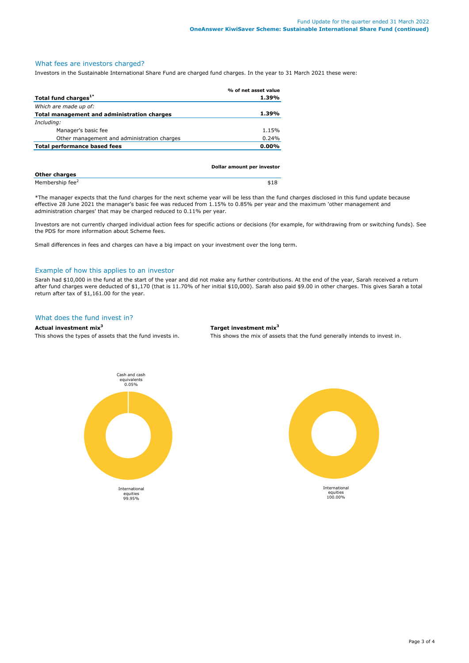## What fees are investors charged?

Investors in the Sustainable International Share Fund are charged fund charges. In the year to 31 March 2021 these were:

|                                                    | % of net asset value |
|----------------------------------------------------|----------------------|
| Total fund charges <sup>1*</sup>                   | 1.39%                |
| Which are made up of:                              |                      |
| <b>Total management and administration charges</b> | 1.39%                |
| Including:                                         |                      |
| Manager's basic fee                                | 1.15%                |
| Other management and administration charges        | 0.24%                |
| Total performance based fees                       | $0.00\%$             |
|                                                    |                      |
|                                                    |                      |

|                             | Dollar amount per investor |  |
|-----------------------------|----------------------------|--|
| <b>Other charges</b>        |                            |  |
| Membership fee <sup>2</sup> | \$18                       |  |

\*The manager expects that the fund charges for the next scheme year will be less than the fund charges disclosed in this fund update because effective 28 June 2021 the manager's basic fee was reduced from 1.15% to 0.85% per year and the maximum 'other management and administration charges' that may be charged reduced to 0.11% per year.

Investors are not currently charged individual action fees for specific actions or decisions (for example, for withdrawing from or switching funds). See the PDS for more information about Scheme fees.

Small differences in fees and charges can have a big impact on your investment over the long term.

#### Example of how this applies to an investor

Sarah had \$10,000 in the fund at the start of the year and did not make any further contributions. At the end of the year, Sarah received a return after fund charges were deducted of \$1,170 (that is 11.70% of her initial \$10,000). Sarah also paid \$9.00 in other charges. This gives Sarah a total return after tax of \$1,161.00 for the year.

# What does the fund invest in?

# **Actual investment mix<sup>3</sup> Target investment mix<sup>3</sup>**

This shows the types of assets that the fund invests in. This shows the mix of assets that the fund generally intends to invest in.